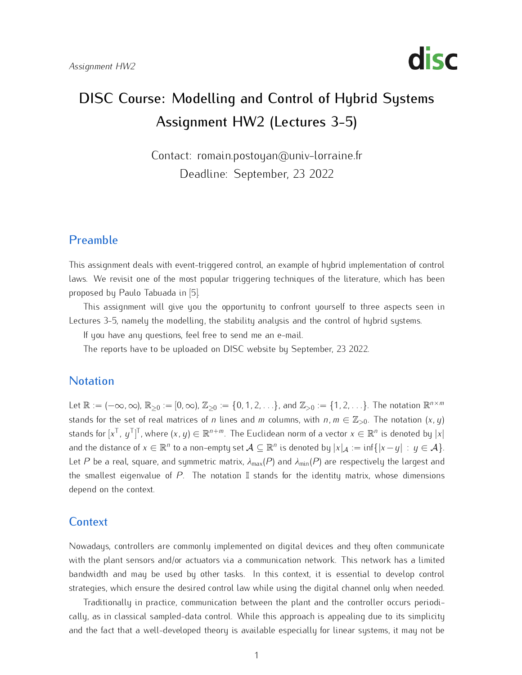

# DISC Course: Modelling and Control of Hybrid Systems Assignment HW2 (Lectures 3-5)

Contact: romain.postoyan@univ-lorraine.fr Deadline: September, 23 2022

## Preamble

This assignment deals with event-triggered control, an example of hybrid implementation of control laws. We revisit one of the most popular triggering techniques of the literature, which has been proposed by Paulo Tabuada in [\[5\]](#page-5-0).

This assignment will give you the opportunity to comfort yourself to three aspects seen in Lectures 3-5, namely the modelling, the stability analysis and the control of hybrid systems.

If you have any questions, feel free to send me an e-mail.

The reports have to be uploaded on DISC website by September, 23 2022.

#### **Notation**

Let  $\mathbb{R} := (-\infty, \infty)$ ,  $\mathbb{R}_{\geq 0} := [0, \infty)$ ,  $\mathbb{Z}_{\geq 0} := \{0, 1, 2, \ldots\}$ , and  $\mathbb{Z}_{> 0} := \{1, 2, \ldots\}$ . The notation  $\mathbb{R}^{n \times m}$ stands for the set of real matrices of *n* lines and *m* columns, with  $n, m \in \mathbb{Z}_{>0}$ . The notation  $(x, y)$ stands for  $[x^{\mathsf{T}}, y^{\mathsf{T}}]^{\mathsf{T}}$ , where  $(x, y) \in \mathbb{R}^{n+m}$ . The Euclidean norm of a vector  $x \in \mathbb{R}^n$  is denoted by  $|x|$ ] and the distance of  $x \in \mathbb{R}^n$  to a non-empty set  $\mathcal{A} \subseteq \mathbb{R}^n$  is denoted by  $|x|_{\mathcal{A}} := \inf\{|x - y| : y \in \mathcal{A}\}.$ Let P be a real, square, and symmetric matrix,  $\lambda_{max}(P)$  and  $\lambda_{min}(P)$  are respectively the largest and the smallest eigenvalue of  $P$ . The notation  $\mathbb I$  stands for the identity matrix, whose dimensions depend on the context.

#### **Context**

Nowadays, controllers are commonly implemented on digital devices and they often communicate with the plant sensors and/or actuators via a communication network. This network has a limited bandwidth and may be used by other tasks. In this context, it is essential to develop control strategies, which ensure the desired control law while using the digital channel only when needed.

Traditionally in practice, communication between the plant and the controller occurs periodically, as in classical sampled-data control. While this approach is appealing due to its simplicity and the fact that a well-developed theory is available especially for linear systems, it may not be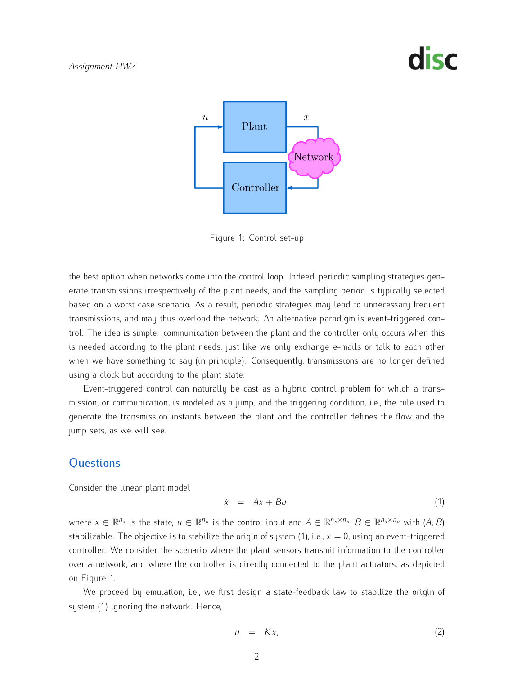# disc



<span id="page-1-1"></span>Figure 1: Control set-up

the best option when networks come into the control loop. Indeed, periodic sampling strategies gen-<br>erate transmissions irrespectively of the plant needs, and the sampling period is typically selected based on a worst case scenario. As a result, periodic strategies may lead to unnecessary frequent transmissions, and may thus overload the network. An alternative paradigm is event-triggered control. The idea is simple: communication between the plant and the controller only occurs when this is needed according to the plant needs, just like we only exchange e-mails or talk to each other is needed according to the plant needs, just like we only exchange e-mails or talk to each other when we have something to say (in principle). Consequently, transmissions are no longer defined using a clock but according to the plant state.<br>Event-triggered control can naturally be cast as a hybrid control problem for which a trans-

Event-triggered control can naturally be cast as a hybrid control problem for which a transmission, or communication, is modeled as a jump, and the triggering condition, i.e., the rule used to generate the transmission instants between the plant and the controller defines the flow and the jump sets, as we will see.

### **Questions**

Consider the linear plant model

<span id="page-1-0"></span>
$$
\dot{x} = Ax + Bu,\tag{1}
$$

where  $x \in \mathbb{R}^{n_x}$  is the state,  $u \in \mathbb{R}^{n_u}$  is the control input and  $A \in \mathbb{R}^{n_x \times n_x}$ ,  $B \in \mathbb{R}^{n_x \times n_u}$  with  $(A, B)$ stabilizable. The objective is to stabilize the origin of system  $(1)$ , i.e.,  $x = 0$ , using an event-triggered controller. We consider the scenario where the plant sensors transmit information to the controller over a network, and where the controller is directly connected to the plant actuators, as depicted<br>on Figure 1.  $\frac{1}{100}$ 

We proceed by emulation, i.e., we first design a state-feedback law to stabilize the origin of system [\(1\)](#page-1-0) ignoring the network. Hence,

<span id="page-1-2"></span>
$$
u = Kx, \tag{2}
$$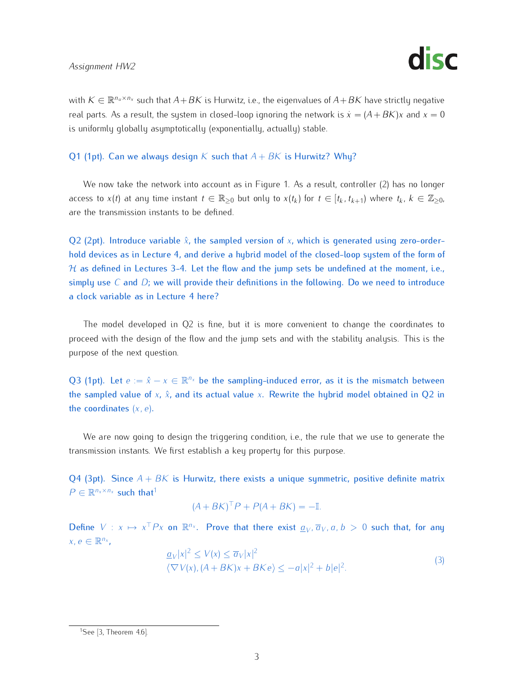

with  $K \in \mathbb{R}^{n_u \times n_x}$  such that  $A+BK$  is Hurwitz, i.e., the eigenvalues of  $A+BK$  have strictly negative real parts. As a result, the system in closed-loop ignoring the network is  $\dot{x} = (A+BK)x$  and  $x=0$ is uniformly globally asymptotically (exponentially, actually) stable.

#### Q1 (1pt). Can we always design *K* such that  $A + BK$  is Hurwitz? Why?

access to  $x(t)$  at any time instant  $t \in \mathbb{R}_{\geq 0}$  but only to  $x(t_k)$  for  $t \in [t_k, t_{k+1})$  where  $t_k$ ,  $k \in \mathbb{Z}_{\geq 0}$ , are the transmission instants to be defined.

Q2 (2pt). Introduce variable  $\hat{x}$ , the sampled version of  $x$ , which is generated using zero-orderhold devices as in Lecture 4, and derive a hybrid model of the closed-loop system of the form of  $H$  as defined in Lectures 3-4. Let the flow and the jump sets be undefined at the moment, i.e., simply use *C* and *D*; we will provide their definitions in the following. Do we need to introduce a clock variable as in Lecture 4 here?

The model developed in Q2 is fine, but it is more convenient to change the coordinates to proceed with the design of the flow and the jump sets and with the stability analysis. This is the purpose of the next question.

Q3 (1pt). Let  $e := \hat{x} - x \in \mathbb{R}^{n_x}$  be the sampling-induced error, as it is the mismatch between the sampled value of  $x$ ,  $\hat{x}$ , and its actual value  $x$ . Rewrite the hybrid model obtained in Q2 in the coordinates (*x, e*).

We are now going to design the triggering condition, i.e., the rule that we use to generate the transmission instants. We first establish a key property for this purpose.

Q4 (3pt). Since  $A + BK$  is Hurwitz, there exists a unique symmetric, positive definite matrix  $P \in \mathbb{R}^{n_x \times n_x}$  such that<sup>[1](#page-2-0)</sup>

$$
(A + BK)^{\top} P + P(A + BK) = -\mathbb{I}.
$$

Define  $V : x \mapsto x^{\top} P x$  on  $\mathbb{R}^{n_x}$ . Prove that there exist  $\underline{a}_V$ ,  $\overline{a}_V$ ,  $a, b > 0$  such that, for any  $x, e \in \mathbb{R}^{n_x}$ ,

<span id="page-2-1"></span>
$$
\frac{a_V|x|^2 \le V(x) \le \overline{a}_V|x|^2}{\langle \nabla V(x), (A+BK)x + BK e \rangle} \le -a|x|^2 + b|e|^2.
$$
\n(3)

<span id="page-2-0"></span><sup>&</sup>lt;sup>1</sup>See [\[3,](#page-4-0) Theorem 4.6].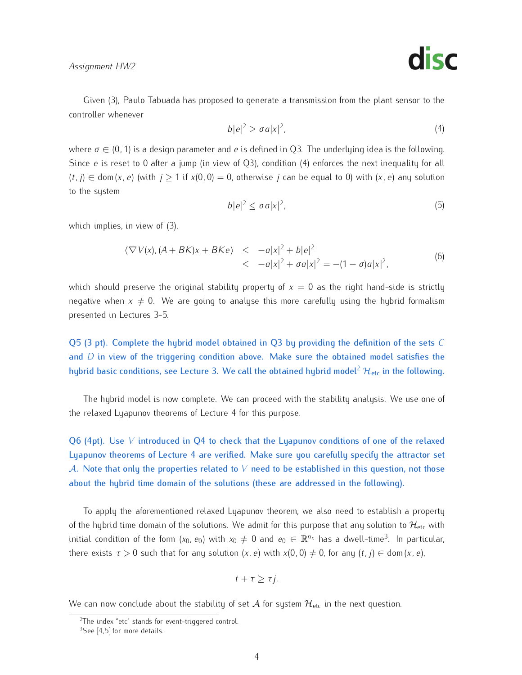*Assignment HW2*



Given [\(3\)](#page-2-1), Paulo Tabuada has proposed to generate a transmission from the plant sensor to the controller whenever

<span id="page-3-0"></span>
$$
b|e|^2 \ge \sigma a|x|^2,\tag{4}
$$

where *<sup>σ</sup> <sup>∈</sup>* (0*,* 1) is a design parameter and *<sup>e</sup>* is defined in Q3. The underlying idea is the following. Since *<sup>e</sup>* is reset to 0 after a jump (in view of Q3), condition [\(4\)](#page-3-0) enforces the next inequality for all (*t, j*) *<sup>∈</sup>* dom (*x, e*) (with *<sup>j</sup> <sup>≥</sup>* 1 if *<sup>x</sup>*(0*,* 0) = 0, otherwise *<sup>j</sup>* can be equal to 0) with (*x, e*) any solution to the system

$$
b|e|^2 \le \sigma a|x|^2,\tag{5}
$$

which implies, in view of [\(3\)](#page-2-1),

$$
\langle \nabla V(x), (A + BK)x + BK e \rangle \le -a|x|^2 + b|e|^2 \le -a|x|^2 + \sigma a|x|^2 = -(1 - \sigma)a|x|^2,
$$
\n(6)

which should preserve the original stability property of  $x = 0$  as the right hand-side is strictly negative when  $x \neq 0$ . We are going to analyse this more carefully using the hybrid formalism presented in Lectures 3-5.

Q5 (3 pt). Complete the hybrid model obtained in Q3 by providing the definition of the sets *C* and *D* in view of the triggering condition above. Make sure the obtained model satisfies the hybrid basic conditions, see Lecture 3. We call the obtained hybrid model<sup>[2](#page-3-1)</sup>  $H_{\text{etc}}$  in the following.

The hybrid model is now complete. We can proceed with the stability analysis. We use one of the relaxed Lyapunov theorems of Lecture 4 for this purpose.

Q6 (4pt). Use *V* introduced in Q4 to check that the Lyapunov conditions of one of the relaxed Lyapunov theorems of Lecture 4 are verified. Make sure you carefully specify the attractor set *A*. Note that only the properties related to *V* need to be established in this question, not those about the hybrid time domain of the solutions (these are addressed in the following).

To apply the aforementioned relaxed Lyapunov theorem, we also need to establish a property of the hybrid time domain of the solu[tio](#page-3-2)ns. We admit for this purpose that any solution to  $\mathcal{H}_{\text{etc}}$  with initial condition of the form  $(x_0, e_0)$  with  $x_0 \neq 0$  and  $e_0 \in \mathbb{R}^{n_x}$  has a dwell-time<sup>3</sup>. In particular, there exists  $\tau > 0$  such that for any solution  $(x, e)$  with  $x(0, 0) \neq 0$ , for any  $(t, j) \in \text{dom}(x, e)$ ,

$$
t+\tau\geq \tau j.
$$

We can now conclude about the stability of set  $A$  for system  $\mathcal{H}_{\text{etc}}$  in the next question.

<span id="page-3-1"></span><sup>&</sup>lt;sup>2</sup>The [in](#page-5-1)[de](#page-5-0)x "etc" stands for event-triggered control.

<span id="page-3-2"></span> $3$ See [4,5] for more details.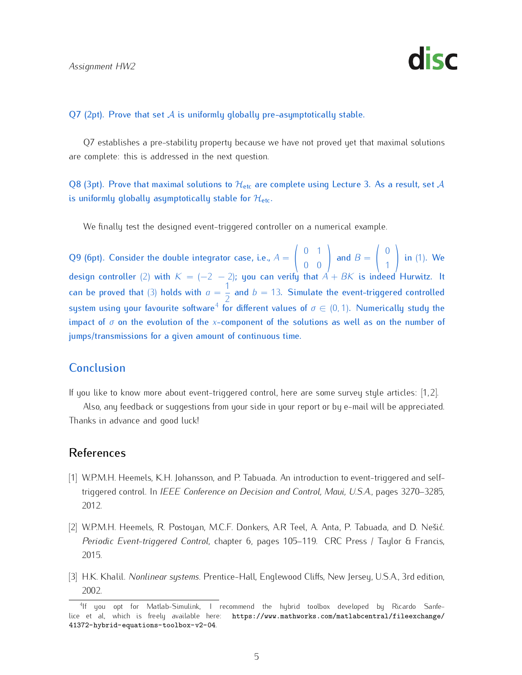

#### Q7 (2pt). Prove that set  $\mathcal A$  is uniformly globally pre-asymptotically stable.

Q7 establishes a pre-stability property because we have not proved yet that maximal solutions are complete: this is addressed in the next question.

Q8 (3pt). Prove that maximal solutions to  $\mathcal{H}_{\text{etc}}$  are complete using Lecture 3. As a result, set A is uniformly globally asymptotically stable for *H*etc.

We finally test the designed event-triggered controller on a numerical example.

Q9 (6pt). Consider the double integrator case, i.e.,  $A =$  $\sqrt{ }$  $\frac{1}{\sqrt{2}}$  $\begin{pmatrix} 0 & 1 \\ 0 & 0 \\ 0 & 0 \end{pmatrix}$ and  $B =$  $\sqrt{ }$  $\frac{1}{2}$ design controller [\(2\)](#page-1-2) with  $K = (-2 - 2)$ ; you can verify that  $A + BK$  is indeed Hurwitz. It  $\setminus$ in [\(1\)](#page-1-0). We can be proved that [\(3\)](#page-2-1) holds with  $a = \frac{1}{2}$  and  $b = 13$ . Simulate the event-triggered controlled system using your favourite software<sup>[4](#page-4-1)</sup> for different values of  $\sigma \in (0, 1)$ . Numerically study the impact of *σ* on the evolution of the *x*-component of the solutions as well as on the number of jumps/transmissions for a given amount of continuous time.

### **Conclusion**

If you like to know more about event-triggered control, here are some survey style articles: [\[1,](#page-4-2) [2\]](#page-4-3).

Also, any feedback or suggestions from your side in your report or by e-mail will be appreciated. Thanks in advance and good luck!

#### References

- <span id="page-4-2"></span>[1] W.P.M.H. Heemels, K.H. Johansson, and P. Tabuada. An introduction to event-triggered and selftriggered control. In *IEEE Conference on Decision and Control, Maui, U.S.A.*, pages 3270–3285, 2012.
- <span id="page-4-3"></span>[2] W.P.M.H. Heemels, R. Postoyan, M.C.F. Donkers, A.R Teel, A. Anta, P. Tabuada, and D. Nešić. *Periodic Event-triggered Control*, chapter 6, pages 105–119. CRC Press / Taylor & Francis, 2015.
- <span id="page-4-0"></span>[3] H.K. Khalil. *Nonlinear systems*. Prentice-Hall, Englewood Cliffs, New Jersey, U.S.A., 3rd edition,  $\frac{2002}{2}$

<span id="page-4-1"></span>If you optimally available here: [https://www.mathworks.com/matlabcentral/fileexchange/](https://www.mathworks.com/matlabcentral/fileexchange/41372-hybrid-equations-toolbox-v2-04)<br>lice et al, which is freely available here: https://www.mathworks.com/matlabcentral/fileexchange/ [41372-hybrid-equations-toolbox-v2-04](https://www.mathworks.com/matlabcentral/fileexchange/41372-hybrid-equations-toolbox-v2-04).